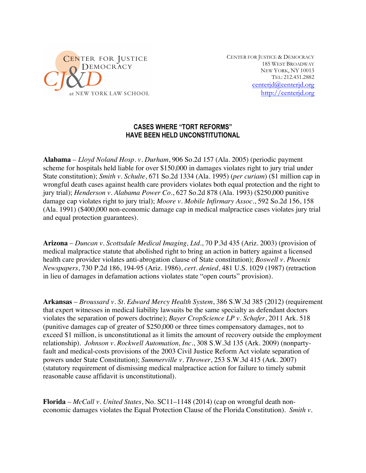

CENTER FOR JUSTICE & DEMOCRACY 185 WEST BROADWAY NEW YORK, NY 10013 TEL: 212.431.2882 centerjd@centerjd.org http://centerjd.org

## **CASES WHERE "TORT REFORMS" HAVE BEEN HELD UNCONSTITUTIONAL**

**Alabama** – *Lloyd Noland Hosp. v. Durham*, 906 So.2d 157 (Ala. 2005) (periodic payment scheme for hospitals held liable for over \$150,000 in damages violates right to jury trial under State constitution); *Smith v. Schulte*, 671 So.2d 1334 (Ala. 1995) (*per curiam*) (\$1 million cap in wrongful death cases against health care providers violates both equal protection and the right to jury trial); *Henderson v. Alabama Power Co.*, 627 So.2d 878 (Ala. 1993) (\$250,000 punitive damage cap violates right to jury trial); *Moore v. Mobile Infirmary Assoc.*, 592 So.2d 156, 158 (Ala. 1991) (\$400,000 non-economic damage cap in medical malpractice cases violates jury trial and equal protection guarantees).

**Arizona** – *Duncan v. Scottsdale Medical Imaging, Ltd.*, 70 P.3d 435 (Ariz. 2003) (provision of medical malpractice statute that abolished right to bring an action in battery against a licensed health care provider violates anti-abrogation clause of State constitution); *Boswell v. Phoenix Newspapers*, 730 P.2d 186, 194-95 (Ariz. 1986), *cert. denied*, 481 U.S. 1029 (1987) (retraction in lieu of damages in defamation actions violates state "open courts" provision).

**Arkansas** – *Broussard v. St. Edward Mercy Health System*, 386 S.W.3d 385 (2012) (requirement that expert witnesses in medical liability lawsuits be the same specialty as defendant doctors violates the separation of powers doctrine); *Bayer CropScience LP v. Schafer*, 2011 Ark. 518 (punitive damages cap of greater of \$250,000 or three times compensatory damages, not to exceed \$1 million, is unconstitutional as it limits the amount of recovery outside the employment relationship). *Johnson v. Rockwell Automation, Inc.*, 308 S.W.3d 135 (Ark. 2009) (nonpartyfault and medical-costs provisions of the 2003 Civil Justice Reform Act violate separation of powers under State Constitution); *Summerville v. Thrower*, 253 S.W.3d 415 (Ark. 2007) (statutory requirement of dismissing medical malpractice action for failure to timely submit reasonable cause affidavit is unconstitutional).

**Florida** – *McCall v. United States*, No. SC11–1148 (2014) (cap on wrongful death noneconomic damages violates the Equal Protection Clause of the Florida Constitution). *Smith v.*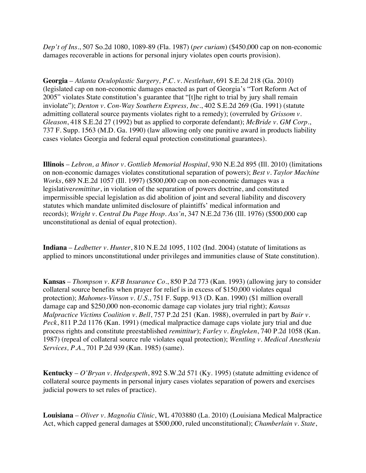*Dep't of Ins.*, 507 So.2d 1080, 1089-89 (Fla. 1987) (*per curiam*) (\$450,000 cap on non-economic damages recoverable in actions for personal injury violates open courts provision).

**Georgia** – *Atlanta Oculoplastic Surgery, P.C. v. Nestlehutt*, 691 S.E.2d 218 (Ga. 2010) (legislated cap on non-economic damages enacted as part of Georgia's "Tort Reform Act of 2005" violates State constitution's guarantee that "[t]he right to trial by jury shall remain inviolate"); *Denton v. Con-Way Southern Express, Inc.*, 402 S.E.2d 269 (Ga. 1991) (statute admitting collateral source payments violates right to a remedy); (overruled by *Grissom v. Gleason*, 418 S.E.2d 27 (1992) but as applied to corporate defendant); *McBride v. GM Corp.*, 737 F. Supp. 1563 (M.D. Ga. 1990) (law allowing only one punitive award in products liability cases violates Georgia and federal equal protection constitutional guarantees).

**Illinois** – *Lebron, a Minor v. Gottlieb Memorial Hospital*, 930 N.E.2d 895 (Ill. 2010) (limitations on non-economic damages violates constitutional separation of powers); *Best v. Taylor Machine Works*, 689 N.E.2d 1057 (Ill. 1997) (\$500,000 cap on non-economic damages was a legislative*remittitur*, in violation of the separation of powers doctrine, and constituted impermissible special legislation as did abolition of joint and several liability and discovery statutes which mandate unlimited disclosure of plaintiffs' medical information and records); *Wright v. Central Du Page Hosp. Ass'n*, 347 N.E.2d 736 (Ill. 1976) (\$500,000 cap unconstitutional as denial of equal protection).

**Indiana** – *Ledbetter v. Hunter*, 810 N.E.2d 1095, 1102 (Ind. 2004) (statute of limitations as applied to minors unconstitutional under privileges and immunities clause of State constitution).

**Kansas** – *Thompson v. KFB Insurance Co.*, 850 P.2d 773 (Kan. 1993) (allowing jury to consider collateral source benefits when prayer for relief is in excess of \$150,000 violates equal protection); *Mahomes-Vinson v. U.S.*, 751 F. Supp. 913 (D. Kan. 1990) (\$1 million overall damage cap and \$250,000 non-economic damage cap violates jury trial right); *Kansas Malpractice Victims Coalition v. Bell*, 757 P.2d 251 (Kan. 1988), overruled in part by *Bair v. Peck*, 811 P.2d 1176 (Kan. 1991) (medical malpractice damage caps violate jury trial and due process rights and constitute preestablished *remittitur*); *Farley v. Engleken*, 740 P.2d 1058 (Kan. 1987) (repeal of collateral source rule violates equal protection); *Wentling v. Medical Anesthesia Services, P.A.*, 701 P.2d 939 (Kan. 1985) (same).

**Kentucky** – *O'Bryan v. Hedgespeth*, 892 S.W.2d 571 (Ky. 1995) (statute admitting evidence of collateral source payments in personal injury cases violates separation of powers and exercises judicial powers to set rules of practice).

**Louisiana** – *Oliver v. Magnolia Clinic*, WL 4703880 (La. 2010) (Louisiana Medical Malpractice Act, which capped general damages at \$500,000, ruled unconstitutional); *Chamberlain v. State*,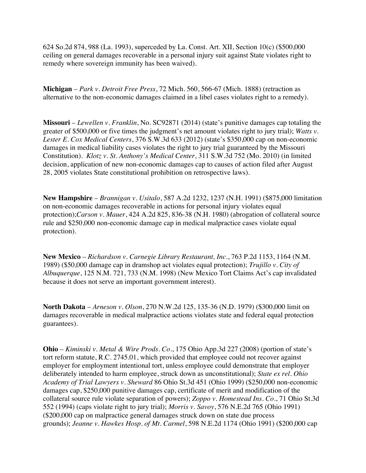624 So.2d 874, 988 (La. 1993), superceded by La. Const. Art. XII, Section 10(c) (\$500,000 ceiling on general damages recoverable in a personal injury suit against State violates right to remedy where sovereign immunity has been waived).

**Michigan** – *Park v. Detroit Free Press*, 72 Mich. 560, 566-67 (Mich. 1888) (retraction as alternative to the non-economic damages claimed in a libel cases violates right to a remedy).

**Missouri** – *Lewellen v. Franklin*, No. SC92871 (2014) (state's punitive damages cap totaling the greater of \$500,000 or five times the judgment's net amount violates right to jury trial); *Watts v. Lester E. Cox Medical Centers*, 376 S.W.3d 633 (2012) (state's \$350,000 cap on non-economic damages in medical liability cases violates the right to jury trial guaranteed by the Missouri Constitution). *Klotz v. St. Anthony's Medical Center*, 311 S.W.3d 752 (Mo. 2010) (in limited decision, application of new non-economic damages cap to causes of action filed after August 28, 2005 violates State constitutional prohibition on retrospective laws).

**New Hampshire** – *Brannigan v. Usitalo*, 587 A.2d 1232, 1237 (N.H. 1991) (\$875,000 limitation on non-economic damages recoverable in actions for personal injury violates equal protection);*Carson v. Mauer*, 424 A.2d 825, 836-38 (N.H. 1980) (abrogation of collateral source rule and \$250,000 non-economic damage cap in medical malpractice cases violate equal protection).

**New Mexico** – *Richardson v. Carnegie Library Restaurant, Inc.*, 763 P.2d 1153, 1164 (N.M. 1989) (\$50,000 damage cap in dramshop act violates equal protection); *Trujillo v. City of Albuquerque*, 125 N.M. 721, 733 (N.M. 1998) (New Mexico Tort Claims Act's cap invalidated because it does not serve an important government interest).

**North Dakota** – *Arneson v. Olson*, 270 N.W.2d 125, 135-36 (N.D. 1979) (\$300,000 limit on damages recoverable in medical malpractice actions violates state and federal equal protection guarantees).

**Ohio** – *Kiminski v. Metal & Wire Prods. Co.*, 175 Ohio App.3d 227 (2008) (portion of state's tort reform statute, R.C. 2745.01, which provided that employee could not recover against employer for employment intentional tort, unless employee could demonstrate that employer deliberately intended to harm employee, struck down as unconstitutional); *State ex rel. Ohio Academy of Trial Lawyers v. Sheward* 86 Ohio St.3d 451 (Ohio 1999) (\$250,000 non-economic damages cap, \$250,000 punitive damages cap, certificate of merit and modification of the collateral source rule violate separation of powers); *Zoppo v. Homestead Ins. Co.*, 71 Ohio St.3d 552 (1994) (caps violate right to jury trial); *Morris v. Savoy*, 576 N.E.2d 765 (Ohio 1991) (\$200,000 cap on malpractice general damages struck down on state due process grounds); *Jeanne v. Hawkes Hosp. of Mt. Carmel*, 598 N.E.2d 1174 (Ohio 1991) (\$200,000 cap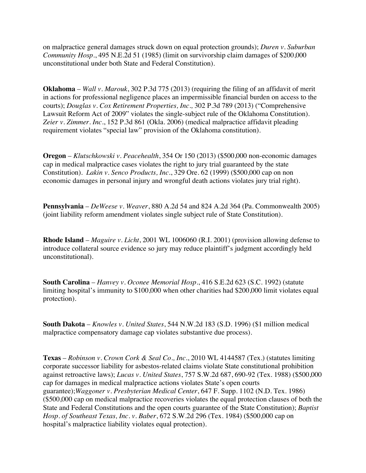on malpractice general damages struck down on equal protection grounds); *Duren v. Suburban Community Hosp.*, 495 N.E.2d 51 (1985) (limit on survivorship claim damages of \$200,000 unconstitutional under both State and Federal Constitution).

**Oklahoma** – *Wall v. Marouk*, 302 P.3d 775 (2013) (requiring the filing of an affidavit of merit in actions for professional negligence places an impermissible financial burden on access to the courts); *Douglas v. Cox Retirement Properties, Inc.,* 302 P.3d 789 (2013) ("Comprehensive Lawsuit Reform Act of 2009" violates the single-subject rule of the Oklahoma Constitution). *Zeier v. Zimmer. Inc.*, 152 P.3d 861 (Okla. 2006) (medical malpractice affidavit pleading requirement violates "special law" provision of the Oklahoma constitution).

**Oregon** – *Klutschkowski v. Peacehealth*, 354 Or 150 (2013) (\$500,000 non-economic damages cap in medical malpractice cases violates the right to jury trial guaranteed by the state Constitution). *Lakin v. Senco Products, Inc.*, 329 Ore. 62 (1999) (\$500,000 cap on non economic damages in personal injury and wrongful death actions violates jury trial right).

**Pennsylvania** – *DeWeese v. Weaver*, 880 A.2d 54 and 824 A.2d 364 (Pa. Commonwealth 2005) (joint liability reform amendment violates single subject rule of State Constitution).

**Rhode Island** – *Maguire v. Licht*, 2001 WL 1006060 (R.I. 2001) (provision allowing defense to introduce collateral source evidence so jury may reduce plaintiff's judgment accordingly held unconstitutional).

**South Carolina** – *Hanvey v. Oconee Memorial Hosp.*, 416 S.E.2d 623 (S.C. 1992) (statute limiting hospital's immunity to \$100,000 when other charities had \$200,000 limit violates equal protection).

**South Dakota** – *Knowles v. United States*, 544 N.W.2d 183 (S.D. 1996) (\$1 million medical malpractice compensatory damage cap violates substantive due process).

**Texas** – *Robinson v. Crown Cork & Seal Co., Inc.*, 2010 WL 4144587 (Tex.) (statutes limiting corporate successor liability for asbestos-related claims violate State constitutional prohibition against retroactive laws); *Lucas v. United States*, 757 S.W.2d 687, 690-92 (Tex. 1988) (\$500,000 cap for damages in medical malpractice actions violates State's open courts guarantee);*Waggoner v. Presbyterian Medical Center*, 647 F. Supp. 1102 (N.D. Tex. 1986) (\$500,000 cap on medical malpractice recoveries violates the equal protection clauses of both the State and Federal Constitutions and the open courts guarantee of the State Constitution); *Baptist Hosp. of Southeast Texas, Inc. v. Baber*, 672 S.W.2d 296 (Tex. 1984) (\$500,000 cap on hospital's malpractice liability violates equal protection).